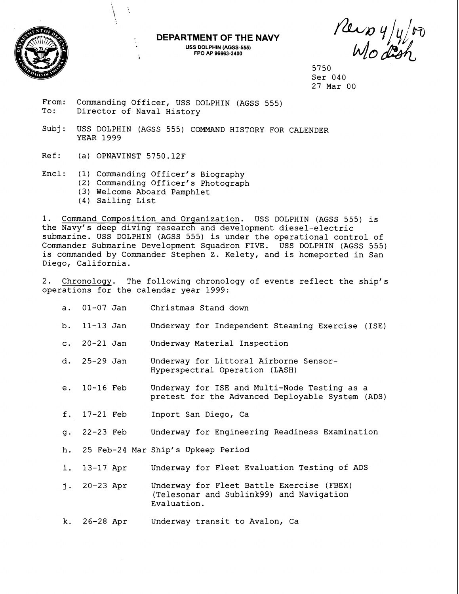

## **DEPARTMENT OF THE NAVY USS DOLPHIN (AGSS-555)**

 $P$ ers y/y/or

5750 Ser 040 27 Mar 00

From: Commanding Officer, USS DOLPHIN (AGSS 555) To: Director of Naval History

Subj: USS DOLPHIN (AGSS 555) COMMAND HISTORY FOR CALENDER YEAR 1999

**i FPO AP 96663-3400** 

Ref: (a) OPNAVINST 5750.12F

À

- Encl: (1) Commanding Officer's Biography
	- (2) Commanding Officer's Photograph
		- (3) Welcome Aboard Pamphlet
		- (4) Sailing List

1. Command Composition and Organization. USS DOLPHIN (AGSS 555) is the Navy's deep diving research and development diesel-electric submarine. USS DOLPHIN (AGSS 555) is under the operational control of Commander Submarine Development Squadron FIVE. USS DOLPHIN (AGSS 555) is commanded by Commander Stephen Z. Kelety, and is homeported in San Diego, California.

2. Chronology. The following chronology of events reflect the ship's operations for the calendar year 1999:

|    | a. 01-07 Jan   | Christmas Stand down                                                                                 |
|----|----------------|------------------------------------------------------------------------------------------------------|
|    | b. 11-13 Jan   | Underway for Independent Steaming Exercise (ISE)                                                     |
|    | c. 20-21 Jan   | Underway Material Inspection                                                                         |
|    | d. $25-29$ Jan | Underway for Littoral Airborne Sensor-<br>Hyperspectral Operation (LASH)                             |
|    | e. 10-16 Feb   | Underway for ISE and Multi-Node Testing as a<br>pretest for the Advanced Deployable System (ADS)     |
|    | f. 17-21 Feb   | Inport San Diego, Ca                                                                                 |
|    | g. 22-23 Feb   | Underway for Engineering Readiness Examination                                                       |
|    |                | h. 25 Feb-24 Mar Ship's Upkeep Period                                                                |
| i. | 13-17 Apr      | Underway for Fleet Evaluation Testing of ADS                                                         |
|    | j. $20-23$ Apr | Underway for Fleet Battle Exercise (FBEX)<br>(Telesonar and Sublink99) and Navigation<br>Evaluation. |

k. 26-28Apr Underway transit to Avalon, Ca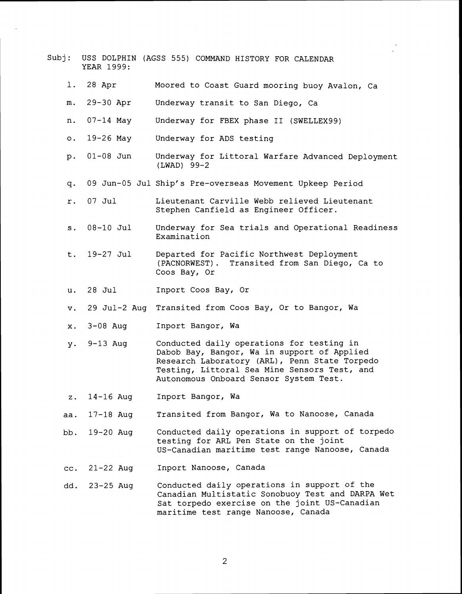|           | YEAR 1999:    | Subj: USS DOLPHIN (AGSS 555) COMMAND HISTORY FOR CALENDAR                                                                                                                                                                           |
|-----------|---------------|-------------------------------------------------------------------------------------------------------------------------------------------------------------------------------------------------------------------------------------|
|           | 1. 28 Apr     | Moored to Coast Guard mooring buoy Avalon, Ca                                                                                                                                                                                       |
| m.        | 29-30 Apr     | Underway transit to San Diego, Ca                                                                                                                                                                                                   |
| n.        | 07-14 May     | Underway for FBEX phase II (SWELLEX99)                                                                                                                                                                                              |
| $\circ$ . | 19-26 May     | Underway for ADS testing                                                                                                                                                                                                            |
| $p$ .     | $01 - 08$ Jun | Underway for Littoral Warfare Advanced Deployment<br>(LWAD) 99-2                                                                                                                                                                    |
|           |               | q. 09 Jun-05 Jul Ship's Pre-overseas Movement Upkeep Period                                                                                                                                                                         |
| $r$ .     | $07$ Jul      | Lieutenant Carville Webb relieved Lieutenant<br>Stephen Canfield as Engineer Officer.                                                                                                                                               |
|           | s. 08-10 Jul  | Underway for Sea trials and Operational Readiness<br>Examination                                                                                                                                                                    |
|           | t. 19-27 Jul  | Departed for Pacific Northwest Deployment<br>(PACNORWEST). Transited from San Diego, Ca to<br>Coos Bay, Or                                                                                                                          |
|           | u. 28 Jul     | Inport Coos Bay, Or                                                                                                                                                                                                                 |
| v.        |               | 29 Jul-2 Aug Transited from Coos Bay, Or to Bangor, Wa                                                                                                                                                                              |
| X.        | $3-08$ Aug    | Inport Bangor, Wa                                                                                                                                                                                                                   |
| y.        | $9-13$ Aug    | Conducted daily operations for testing in<br>Dabob Bay, Bangor, Wa in support of Applied<br>Research Laboratory (ARL), Penn State Torpedo<br>Testing, Littoral Sea Mine Sensors Test, and<br>Autonomous Onboard Sensor System Test. |
| z.        | 14-16 Aug     | Inport Bangor, Wa                                                                                                                                                                                                                   |
| aa.       | $17-18$ Aug   | Transited from Bangor, Wa to Nanoose, Canada                                                                                                                                                                                        |
| bb.       | 19-20 Aug     | Conducted daily operations in support of torpedo<br>testing for ARL Pen State on the joint<br>US-Canadian maritime test range Nanoose, Canada                                                                                       |
| cc.       | $21 - 22$ Aug | Inport Nanoose, Canada                                                                                                                                                                                                              |
| dd.       | 23-25 Aug     | Conducted daily operations in support of the<br>Canadian Multistatic Sonobuoy Test and DARPA Wet<br>Sat torpedo exercise on the joint US-Canadian<br>maritime test range Nanoose, Canada                                            |

 $\overline{c}$